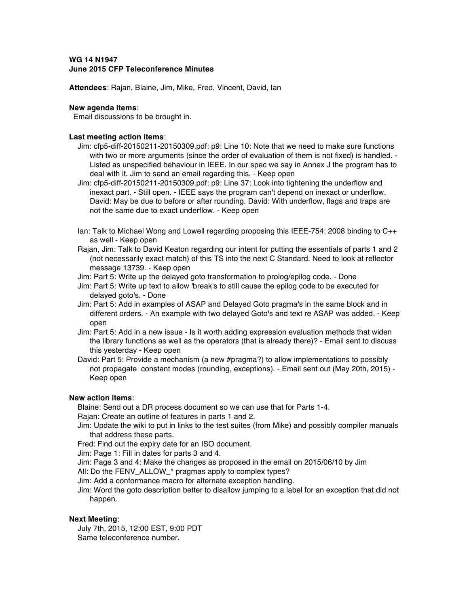# **WG 14 N1947 June 2015 CFP Teleconference Minutes**

**Attendees**: Rajan, Blaine, Jim, Mike, Fred, Vincent, David, Ian

#### **New agenda items**:

Email discussions to be brought in.

#### **Last meeting action items**:

- Jim: cfp5-diff-20150211-20150309.pdf: p9: Line 10: Note that we need to make sure functions with two or more arguments (since the order of evaluation of them is not fixed) is handled. -Listed as unspecified behaviour in IEEE. In our spec we say in Annex J the program has to deal with it. Jim to send an email regarding this. - Keep open
- Jim: cfp5-diff-20150211-20150309.pdf: p9: Line 37: Look into tightening the underflow and inexact part. - Still open. - IEEE says the program can't depend on inexact or underflow. David: May be due to before or after rounding. David: With underflow, flags and traps are not the same due to exact underflow. - Keep open
- Ian: Talk to Michael Wong and Lowell regarding proposing this IEEE-754: 2008 binding to C++ as well - Keep open
- Rajan, Jim: Talk to David Keaton regarding our intent for putting the essentials of parts 1 and 2 (not necessarily exact match) of this TS into the next C Standard. Need to look at reflector message 13739. - Keep open
- Jim: Part 5: Write up the delayed goto transformation to prolog/epilog code. Done
- Jim: Part 5: Write up text to allow 'break's to still cause the epilog code to be executed for delayed goto's. - Done
- Jim: Part 5: Add in examples of ASAP and Delayed Goto pragma's in the same block and in different orders. - An example with two delayed Goto's and text re ASAP was added. - Keep open
- Jim: Part 5: Add in a new issue Is it worth adding expression evaluation methods that widen the library functions as well as the operators (that is already there)? - Email sent to discuss this yesterday - Keep open
- David: Part 5: Provide a mechanism (a new #pragma?) to allow implementations to possibly not propagate constant modes (rounding, exceptions). - Email sent out (May 20th, 2015) - Keep open

## **New action items**:

Blaine: Send out a DR process document so we can use that for Parts 1-4.

Rajan: Create an outline of features in parts 1 and 2.

Jim: Update the wiki to put in links to the test suites (from Mike) and possibly compiler manuals that address these parts.

Fred: Find out the expiry date for an ISO document.

Jim: Page 1: Fill in dates for parts 3 and 4.

- Jim: Page 3 and 4: Make the changes as proposed in the email on 2015/06/10 by Jim
- All: Do the FENV\_ALLOW\_\* pragmas apply to complex types?
- Jim: Add a conformance macro for alternate exception handling.
- Jim: Word the goto description better to disallow jumping to a label for an exception that did not happen.

## **Next Meeting**:

July 7th, 2015, 12:00 EST, 9:00 PDT Same teleconference number.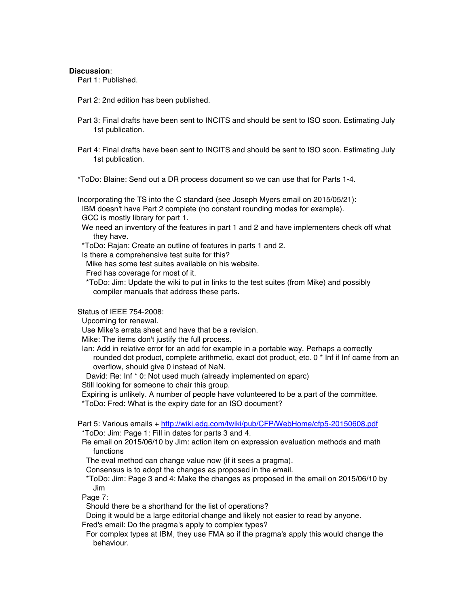#### **Discussion**:

Part 1: Published.

Part 2: 2nd edition has been published.

- Part 3: Final drafts have been sent to INCITS and should be sent to ISO soon. Estimating July 1st publication.
- Part 4: Final drafts have been sent to INCITS and should be sent to ISO soon. Estimating July 1st publication.

\*ToDo: Blaine: Send out a DR process document so we can use that for Parts 1-4.

Incorporating the TS into the C standard (see Joseph Myers email on 2015/05/21): IBM doesn't have Part 2 complete (no constant rounding modes for example). GCC is mostly library for part 1.

- We need an inventory of the features in part 1 and 2 and have implementers check off what they have.
- \*ToDo: Rajan: Create an outline of features in parts 1 and 2.

Is there a comprehensive test suite for this?

Mike has some test suites available on his website.

Fred has coverage for most of it.

\*ToDo: Jim: Update the wiki to put in links to the test suites (from Mike) and possibly compiler manuals that address these parts.

Status of IEEE 754-2008:

Upcoming for renewal.

Use Mike's errata sheet and have that be a revision.

Mike: The items don't justify the full process.

Ian: Add in relative error for an add for example in a portable way. Perhaps a correctly rounded dot product, complete arithmetic, exact dot product, etc. 0 \* Inf if Inf came from an overflow, should give 0 instead of NaN.

David: Re: Inf \* 0: Not used much (already implemented on sparc)

Still looking for someone to chair this group.

Expiring is unlikely. A number of people have volunteered to be a part of the committee. \*ToDo: Fred: What is the expiry date for an ISO document?

Part 5: Various emails + http://wiki.edg.com/twiki/pub/CFP/WebHome/cfp5-20150608.pdf \*ToDo: Jim: Page 1: Fill in dates for parts 3 and 4.

Re email on 2015/06/10 by Jim: action item on expression evaluation methods and math functions

The eval method can change value now (if it sees a pragma).

Consensus is to adopt the changes as proposed in the email.

\*ToDo: Jim: Page 3 and 4: Make the changes as proposed in the email on 2015/06/10 by Jim

Page 7:

Should there be a shorthand for the list of operations?

Doing it would be a large editorial change and likely not easier to read by anyone.

Fred's email: Do the pragma's apply to complex types?

For complex types at IBM, they use FMA so if the pragma's apply this would change the behaviour.